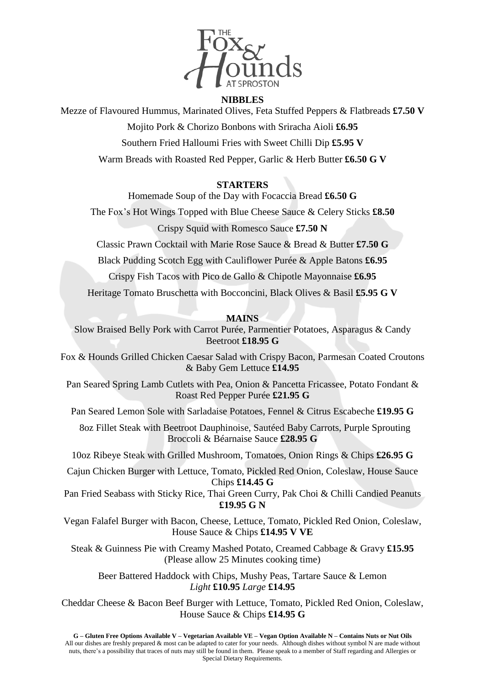

## **NIBBLES**

Mezze of Flavoured Hummus, Marinated Olives, Feta Stuffed Peppers & Flatbreads **£7.50 V**

Mojito Pork & Chorizo Bonbons with Sriracha Aioli **£6.95**

Southern Fried Halloumi Fries with Sweet Chilli Dip **£5.95 V**

Warm Breads with Roasted Red Pepper, Garlic & Herb Butter **£6.50 G V**

## **STARTERS**

Homemade Soup of the Day with Focaccia Bread **£6.50 G**

The Fox's Hot Wings Topped with Blue Cheese Sauce & Celery Sticks **£8.50**

Crispy Squid with Romesco Sauce **£7.50 N**

Classic Prawn Cocktail with Marie Rose Sauce & Bread & Butter **£7.50 G**

Black Pudding Scotch Egg with Cauliflower Purée & Apple Batons **£6.95**

Crispy Fish Tacos with Pico de Gallo & Chipotle Mayonnaise **£6.95**

Heritage Tomato Bruschetta with Bocconcini, Black Olives & Basil **£5.95 G V**

# **MAINS**

Slow Braised Belly Pork with Carrot Purée, Parmentier Potatoes, Asparagus & Candy Beetroot **£18.95 G**

Fox & Hounds Grilled Chicken Caesar Salad with Crispy Bacon, Parmesan Coated Croutons & Baby Gem Lettuce **£14.95**

Pan Seared Spring Lamb Cutlets with Pea, Onion & Pancetta Fricassee, Potato Fondant & Roast Red Pepper Purée **£21.95 G**

Pan Seared Lemon Sole with Sarladaise Potatoes, Fennel & Citrus Escabeche **£19.95 G**

 8oz Fillet Steak with Beetroot Dauphinoise, Sautéed Baby Carrots, Purple Sprouting Broccoli & Béarnaise Sauce **£28.95 G**

10oz Ribeye Steak with Grilled Mushroom, Tomatoes, Onion Rings & Chips **£26.95 G**

Cajun Chicken Burger with Lettuce, Tomato, Pickled Red Onion, Coleslaw, House Sauce Chips **£14.45 G**

Pan Fried Seabass with Sticky Rice, Thai Green Curry, Pak Choi & Chilli Candied Peanuts **£19.95 G N**

Vegan Falafel Burger with Bacon, Cheese, Lettuce, Tomato, Pickled Red Onion, Coleslaw, House Sauce & Chips **£14.95 V VE**

Steak & Guinness Pie with Creamy Mashed Potato, Creamed Cabbage & Gravy **£15.95** (Please allow 25 Minutes cooking time)

Beer Battered Haddock with Chips, Mushy Peas, Tartare Sauce & Lemon *Light* **£10.95** *Large* **£14.95**

Cheddar Cheese & Bacon Beef Burger with Lettuce, Tomato, Pickled Red Onion, Coleslaw, House Sauce & Chips **£14.95 G**

G - Gluten Free Options Available V - Vegetarian Available VE - Vegan Option Available N - Contains Nuts or Nut Oils All our dishes are freshly prepared & most can be adapted to cater for your needs. Although dishes without symbol N are made without nuts, there's a possibility that traces of nuts may still be found in them. Please speak to a member of Staff regarding and Allergies or Special Dietary Requirements.